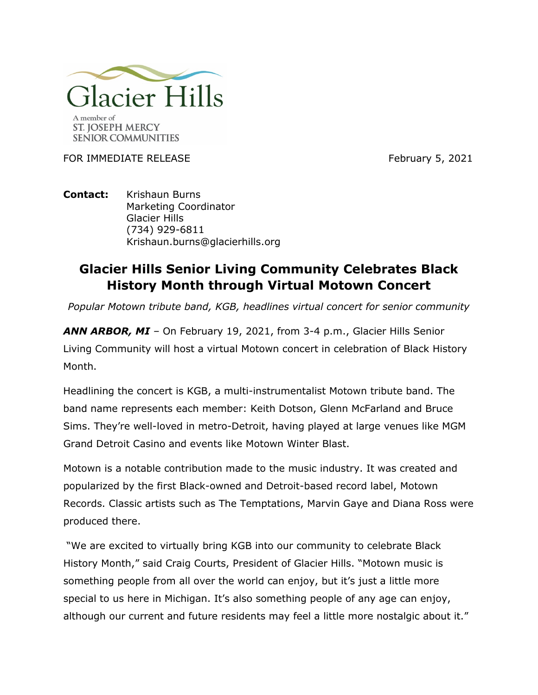

FOR IMMEDIATE RELEASE FOR THE SECTION OF THE SECTION RESERVE TO THE SECTION OF THE SECTION OF THE SECTION OF THE SECTION OF THE SECTION OF THE SECTION OF THE SECTION OF THE SECTION OF THE SECTION OF THE SECTION OF THE SECT

## **Contact:** Krishaun Burns Marketing Coordinator Glacier Hills (734) 929-6811 Krishaun.burns@glacierhills.org

## **Glacier Hills Senior Living Community Celebrates Black History Month through Virtual Motown Concert**

*Popular Motown tribute band, KGB, headlines virtual concert for senior community*

*ANN ARBOR, MI –* On February 19, 2021, from 3-4 p.m., Glacier Hills Senior Living Community will host a virtual Motown concert in celebration of Black History Month.

Headlining the concert is KGB, a multi-instrumentalist Motown tribute band. The band name represents each member: Keith Dotson, Glenn McFarland and Bruce Sims. They're well-loved in metro-Detroit, having played at large venues like MGM Grand Detroit Casino and events like Motown Winter Blast.

Motown is a notable contribution made to the music industry. It was created and popularized by the first Black-owned and Detroit-based record label, Motown Records. Classic artists such as The Temptations, Marvin Gaye and Diana Ross were produced there.

"We are excited to virtually bring KGB into our community to celebrate Black History Month," said Craig Courts, President of Glacier Hills. "Motown music is something people from all over the world can enjoy, but it's just a little more special to us here in Michigan. It's also something people of any age can enjoy, although our current and future residents may feel a little more nostalgic about it."